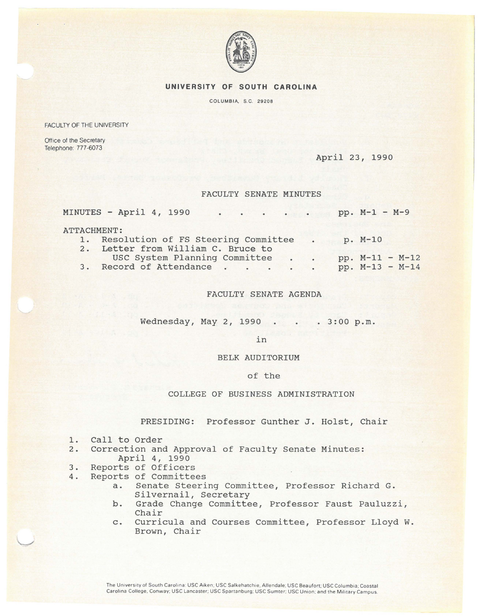

### **UNIVERSITY OF SOUTH CAROLINA**

COLUMBIA, S.C. 29208

FACULTY OF THE UNIVERSITY

Office of the Secretary Telephone: 777-6073

April 23, 1990

#### FACULTY SENATE MINUTES

| MINUTES - April 4, 1990<br>$\cdot$ pp. M-1 - M-9 |           |                   |
|--------------------------------------------------|-----------|-------------------|
| <b>ATTACHMENT:</b>                               |           |                   |
| 1. Resolution of FS Steering Committee           | $\bullet$ | p. M-10           |
| 2. Letter from William C. Bruce to               |           |                   |
| USC System Planning Committee.                   | $\bullet$ | $pp. M-11 - M-12$ |
| 3. Record of Attendance                          | $\bullet$ | $pp. M-13 - M-14$ |

FACULTY SENATE AGENDA

Wednesday, May 2, 1990 . . . 3:00 p.m.

in

BELK AUDITORIUM

# of the

## COLLEGE OF BUSINESS ADMINISTRATION

PRESIDING: Professor Gunther J. Holst, Chair

- 1. Call to Order
- 2. Correction and Approval of Faculty Senate Minutes: April 4, 1990
- 3. Reports of Officers
- 4. Reports of Committees
	- a. Senate Steering Committee, Professor Richard G. Silvernail, Secretary
	- b. Grade Change Committee, Professor Faust Pauluzzi, Chair
	- c. Curricula and Courses Committee, Professor Lloyd W. Brown, Chair